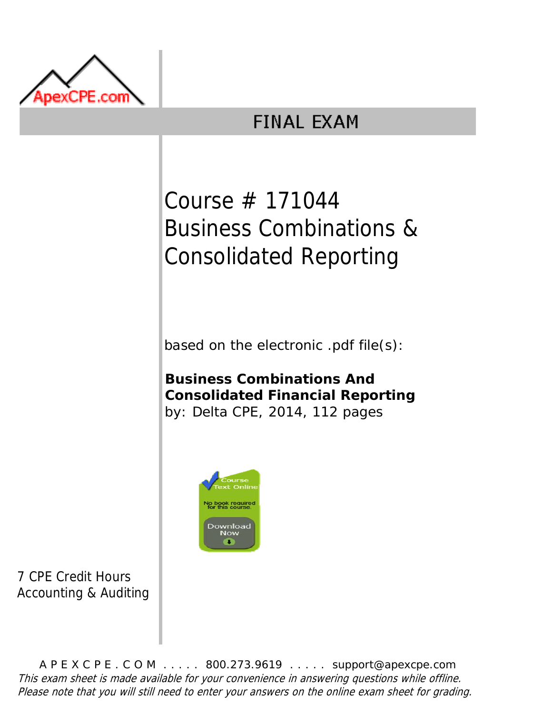

## **FINAL EXAM**

# Course # 171044 Business Combinations & Consolidated Reporting

based on the electronic .pdf file(s):

**Business Combinations And Consolidated Financial Reporting** by: Delta CPE, 2014, 112 pages



7 CPE Credit Hours Accounting & Auditing

A P E X C P E . C O M . . . . . 800.273.9619 . . . . . support@apexcpe.com This exam sheet is made available for your convenience in answering questions while offline. Please note that you will still need to enter your answers on the online exam sheet for grading.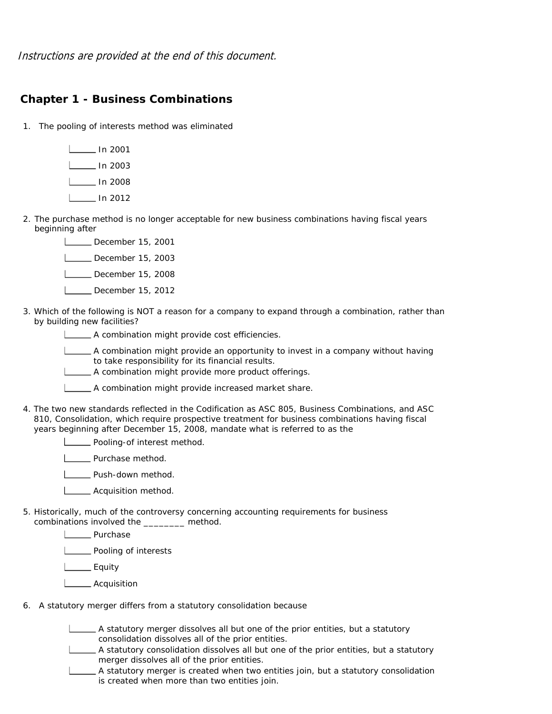Instructions are provided at the end of this document.

#### **Chapter 1 - Business Combinations**

- 1. The pooling of interests method was eliminated
	- In 2001  $\Box$ In 2003 L<sub>\_\_\_\_</sub> In 2008 In 2012
- 2. The purchase method is no longer acceptable for new business combinations having fiscal years beginning after
	- December 15, 2001 December 15, 2003 December 15, 2008 L\_\_\_\_ December 15, 2012
- 3. Which of the following is NOT a reason for a company to expand through a combination, rather than by building new facilities?

**LECT** A combination might provide cost efficiencies.

A combination might provide an opportunity to invest in a company without having to take responsibility for its financial results.

A combination might provide more product offerings.

A combination might provide increased market share.

4. The two new standards reflected in the Codification as ASC 805, Business Combinations, and ASC 810, Consolidation, which require prospective treatment for business combinations having fiscal years beginning after December 15, 2008, mandate what is referred to as the

**Pooling-of interest method.** 

| Purchase method.

**L** Push-down method.

- **L\_\_\_\_** Acquisition method.
- 5. Historically, much of the controversy concerning accounting requirements for business combinations involved the \_\_\_\_\_\_\_\_ method.
	- Louis Purchase

**Latter** Pooling of interests

L<sub>Equity</sub>

- **L** Acquisition
- 6. A statutory merger differs from a statutory consolidation because

A statutory merger dissolves all but one of the prior entities, but a statutory consolidation dissolves all of the prior entities.

- A statutory consolidation dissolves all but one of the prior entities, but a statutory merger dissolves all of the prior entities.
- A statutory merger is created when two entities join, but a statutory consolidation is created when more than two entities join.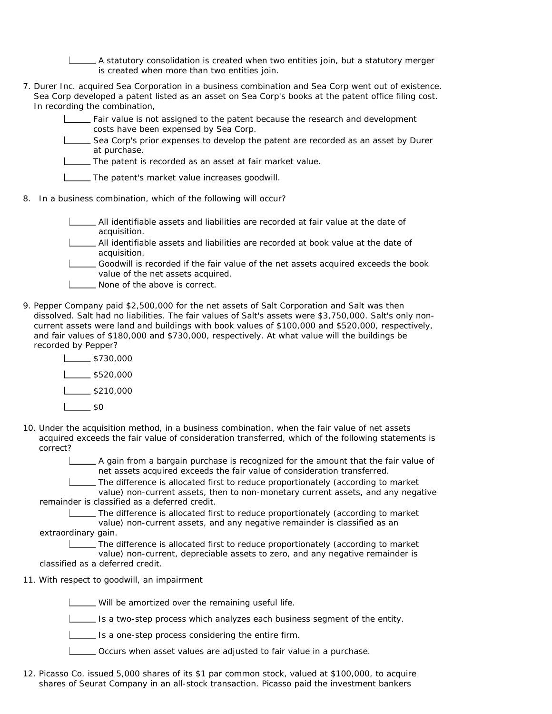A statutory consolidation is created when two entities join, but a statutory merger is created when more than two entities join.

- 7. Durer Inc. acquired Sea Corporation in a business combination and Sea Corp went out of existence. Sea Corp developed a patent listed as an asset on Sea Corp's books at the patent office filing cost. In recording the combination,
	- Fair value is not assigned to the patent because the research and development costs have been expensed by Sea Corp.
	- Sea Corp's prior expenses to develop the patent are recorded as an asset by Durer at purchase.
	- The patent is recorded as an asset at fair market value.
	- The patent's market value increases goodwill.
- 8. In a business combination, which of the following will occur?
	- All identifiable assets and liabilities are recorded at fair value at the date of acquisition.
	- All identifiable assets and liabilities are recorded at book value at the date of acquisition.
	- Goodwill is recorded if the fair value of the net assets acquired exceeds the book value of the net assets acquired.
	- **None of the above is correct.**
- 9. Pepper Company paid \$2,500,000 for the net assets of Salt Corporation and Salt was then dissolved. Salt had no liabilities. The fair values of Salt's assets were \$3,750,000. Salt's only noncurrent assets were land and buildings with book values of \$100,000 and \$520,000, respectively, and fair values of \$180,000 and \$730,000, respectively. At what value will the buildings be recorded by Pepper?
	- $$730,000$  $$520,000$  $-$ \$210,000  $-$ \$0
- 10. Under the acquisition method, in a business combination, when the fair value of net assets acquired exceeds the fair value of consideration transferred, which of the following statements is correct?
	- A gain from a bargain purchase is recognized for the amount that the fair value of net assets acquired exceeds the fair value of consideration transferred.

The difference is allocated first to reduce proportionately (according to market value) non-current assets, then to non-monetary current assets, and any negative remainder is classified as a deferred credit.

The difference is allocated first to reduce proportionately (according to market value) non-current assets, and any negative remainder is classified as an

extraordinary gain.

The difference is allocated first to reduce proportionately (according to market value) non-current, depreciable assets to zero, and any negative remainder is classified as a deferred credit.

11. With respect to goodwill, an impairment

Will be amortized over the remaining useful life.

Is a two-step process which analyzes each business segment of the entity.

Is a one-step process considering the entire firm.

- Occurs when asset values are adjusted to fair value in a purchase.
- 12. Picasso Co. issued 5,000 shares of its \$1 par common stock, valued at \$100,000, to acquire shares of Seurat Company in an all-stock transaction. Picasso paid the investment bankers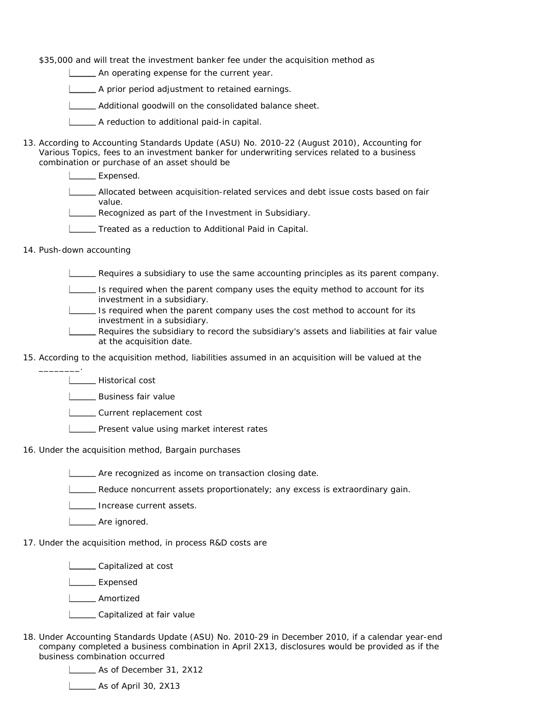\$35,000 and will treat the investment banker fee under the acquisition method as

An operating expense for the current year.

A prior period adjustment to retained earnings.

Additional goodwill on the consolidated balance sheet.

A reduction to additional paid-in capital.

- 13. According to Accounting Standards Update (ASU) No. 2010-22 (August 2010), Accounting for Various Topics, fees to an investment banker for underwriting services related to a business combination or purchase of an asset should be
	- L<sub>Expensed.</sub>
	- Allocated between acquisition-related services and debt issue costs based on fair value.
	- Recognized as part of the Investment in Subsidiary.
	- **Treated as a reduction to Additional Paid in Capital.**
- 14. Push-down accounting

\_\_\_\_\_\_\_\_.

Requires a subsidiary to use the same accounting principles as its parent company.

- $\Box$  Is required when the parent company uses the equity method to account for its investment in a subsidiary.
- **IS required when the parent company uses the cost method to account for its** investment in a subsidiary.
- Requires the subsidiary to record the subsidiary's assets and liabilities at fair value at the acquisition date.
- 15. According to the acquisition method, liabilities assumed in an acquisition will be valued at the
	- | Historical cost
	- **L\_\_\_\_\_** Business fair value
	- **LECURE CURTER** CURTER COST
	- **Present value using market interest rates**
- 16. Under the acquisition method, Bargain purchases
	- **LETT** Are recognized as income on transaction closing date.
	- **EXECUTE:** Reduce noncurrent assets proportionately; any excess is extraordinary gain.
	- **IDED** Increase current assets.
	- Lossex Are ignored.
- 17. Under the acquisition method, in process R&D costs are

**L** Capitalized at cost

Expensed

Amortized

- L\_\_\_\_\_ Capitalized at fair value
- 18. Under Accounting Standards Update (ASU) No. 2010-29 in December 2010, if a calendar year-end company completed a business combination in April 2X13, disclosures would be provided as if the business combination occurred

As of December 31, 2X12

**L\_\_\_\_\_\_ As of April 30, 2X13**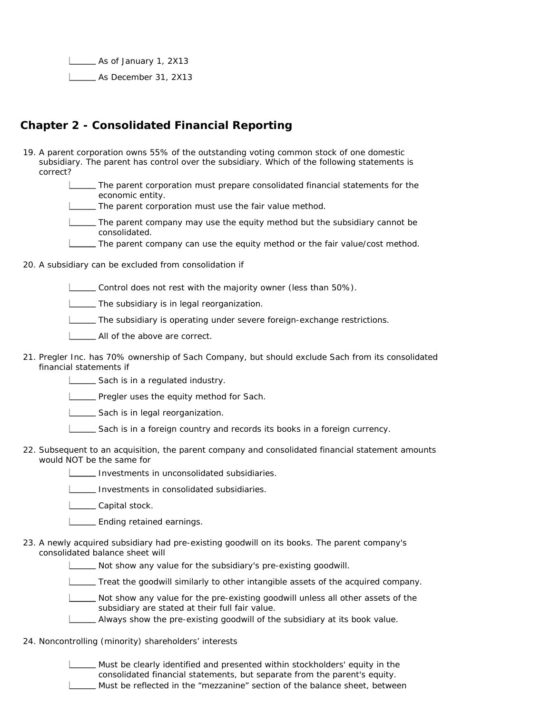As of January 1, 2X13 As December 31, 2X13

### **Chapter 2 - Consolidated Financial Reporting**

- 19. A parent corporation owns 55% of the outstanding voting common stock of one domestic subsidiary. The parent has control over the subsidiary. Which of the following statements is correct?
	- The parent corporation must prepare consolidated financial statements for the economic entity.
	- The parent corporation must use the fair value method.
	- The parent company may use the equity method but the subsidiary cannot be consolidated.
	- The parent company can use the equity method or the fair value/cost method.

20. A subsidiary can be excluded from consolidation if

Control does not rest with the majority owner (less than 50%).

**LETTA** The subsidiary is in legal reorganization.

The subsidiary is operating under severe foreign-exchange restrictions.

- **LETT** All of the above are correct.
- 21. Pregler Inc. has 70% ownership of Sach Company, but should exclude Sach from its consolidated financial statements if
	- Sach is in a regulated industry.
	- **LETT** Pregler uses the equity method for Sach.
	- Sach is in legal reorganization.
	- Sach is in a foreign country and records its books in a foreign currency.
- 22. Subsequent to an acquisition, the parent company and consolidated financial statement amounts would NOT be the same for
	- Investments in unconsolidated subsidiaries.
	- Investments in consolidated subsidiaries.

L\_\_\_\_\_ Capital stock.

- **L\_\_\_\_\_** Ending retained earnings.
- 23. A newly acquired subsidiary had pre-existing goodwill on its books. The parent company's consolidated balance sheet will
	- Not show any value for the subsidiary's pre-existing goodwill.
	- Treat the goodwill similarly to other intangible assets of the acquired company.
	- Not show any value for the pre-existing goodwill unless all other assets of the subsidiary are stated at their full fair value.
	- Always show the pre-existing goodwill of the subsidiary at its book value.
- 24. Noncontrolling (minority) shareholders' interests
	- Must be clearly identified and presented within stockholders' equity in the consolidated financial statements, but separate from the parent's equity. Must be reflected in the "mezzanine" section of the balance sheet, between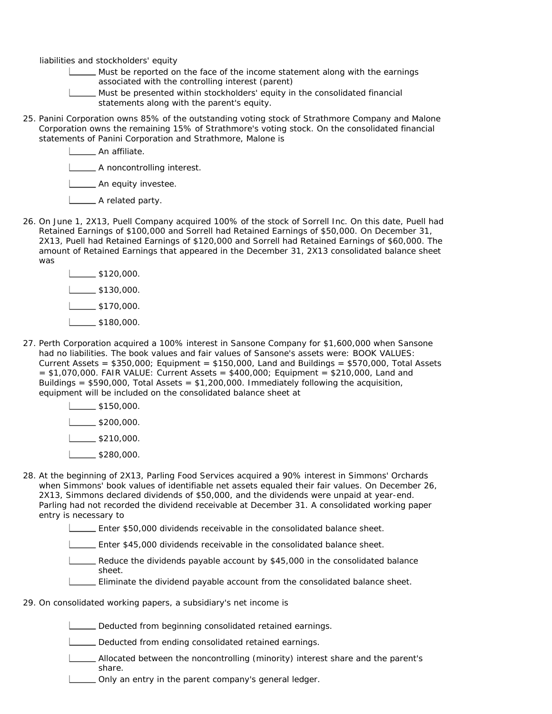liabilities and stockholders' equity

- Must be reported on the face of the income statement along with the earnings associated with the controlling interest (parent)
- Must be presented within stockholders' equity in the consolidated financial statements along with the parent's equity.
- 25. Panini Corporation owns 85% of the outstanding voting stock of Strathmore Company and Malone Corporation owns the remaining 15% of Strathmore's voting stock. On the consolidated financial statements of Panini Corporation and Strathmore, Malone is

**Letter** An affiliate.

**LETTE** A noncontrolling interest.

**LETT** An equity investee.

- **L**\_\_\_\_\_\_ A related party.
- 26. On June 1, 2X13, Puell Company acquired 100% of the stock of Sorrell Inc. On this date, Puell had Retained Earnings of \$100,000 and Sorrell had Retained Earnings of \$50,000. On December 31, 2X13, Puell had Retained Earnings of \$120,000 and Sorrell had Retained Earnings of \$60,000. The amount of Retained Earnings that appeared in the December 31, 2X13 consolidated balance sheet was

| \$120,000. |
|------------|
| \$130,000. |
| \$170,000. |
| \$180,000. |

27. Perth Corporation acquired a 100% interest in Sansone Company for \$1,600,000 when Sansone had no liabilities. The book values and fair values of Sansone's assets were: BOOK VALUES: Current Assets =  $$350,000$ ; Equipment =  $$150,000$ , Land and Buildings =  $$570,000$ , Total Assets  $= $1,070,000$ . FAIR VALUE: Current Assets  $= $400,000$ ; Equipment  $= $210,000$ , Land and Buildings =  $$590,000$ , Total Assets =  $$1,200,000$ . Immediately following the acquisition, equipment will be included on the consolidated balance sheet at

> $\frac{1}{1}$ \$150,000.  $\frac{1}{2}$ \$200,000.  $1_{\sim}$ \$210,000.  $1$   $3280,000$ .

- 28. At the beginning of 2X13, Parling Food Services acquired a 90% interest in Simmons' Orchards when Simmons' book values of identifiable net assets equaled their fair values. On December 26, 2X13, Simmons declared dividends of \$50,000, and the dividends were unpaid at year-end. Parling had not recorded the dividend receivable at December 31. A consolidated working paper entry is necessary to
	- Enter \$50,000 dividends receivable in the consolidated balance sheet.
	- Enter \$45,000 dividends receivable in the consolidated balance sheet.
	- Reduce the dividends payable account by \$45,000 in the consolidated balance sheet.
	- Eliminate the dividend payable account from the consolidated balance sheet.
- 29. On consolidated working papers, a subsidiary's net income is
	- Deducted from beginning consolidated retained earnings.
	- Deducted from ending consolidated retained earnings.
	- Allocated between the noncontrolling (minority) interest share and the parent's share.
	- Only an entry in the parent company's general ledger.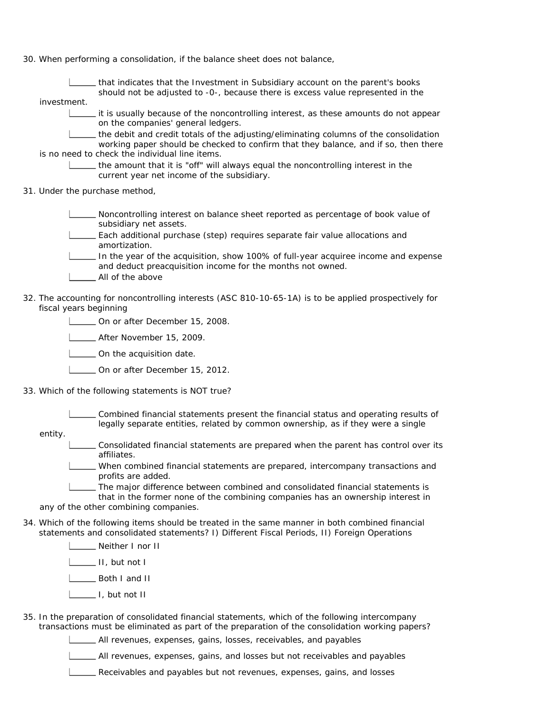30. When performing a consolidation, if the balance sheet does not balance,

|                                                                                                                                 | that indicates that the Investment in Subsidiary account on the parent's books<br>should not be adjusted to -0-, because there is excess value represented in the                                                   |  |
|---------------------------------------------------------------------------------------------------------------------------------|---------------------------------------------------------------------------------------------------------------------------------------------------------------------------------------------------------------------|--|
|                                                                                                                                 | investment.                                                                                                                                                                                                         |  |
|                                                                                                                                 | it is usually because of the noncontrolling interest, as these amounts do not appear<br>on the companies' general ledgers.                                                                                          |  |
|                                                                                                                                 | the debit and credit totals of the adjusting/eliminating columns of the consolidation<br>working paper should be checked to confirm that they balance, and if so, then there                                        |  |
|                                                                                                                                 | is no need to check the individual line items.                                                                                                                                                                      |  |
|                                                                                                                                 | the amount that it is "off" will always equal the noncontrolling interest in the<br>current year net income of the subsidiary.                                                                                      |  |
|                                                                                                                                 | 31. Under the purchase method,                                                                                                                                                                                      |  |
|                                                                                                                                 | Noncontrolling interest on balance sheet reported as percentage of book value of<br>subsidiary net assets.                                                                                                          |  |
|                                                                                                                                 | Each additional purchase (step) requires separate fair value allocations and<br>amortization.                                                                                                                       |  |
|                                                                                                                                 | In the year of the acquisition, show 100% of full-year acquiree income and expense<br>and deduct preacquisition income for the months not owned.<br>All of the above                                                |  |
| 32. The accounting for noncontrolling interests (ASC 810-10-65-1A) is to be applied prospectively for<br>fiscal years beginning |                                                                                                                                                                                                                     |  |
|                                                                                                                                 | On or after December 15, 2008.                                                                                                                                                                                      |  |
|                                                                                                                                 | __ After November 15, 2009.                                                                                                                                                                                         |  |
|                                                                                                                                 | On the acquisition date.                                                                                                                                                                                            |  |
|                                                                                                                                 | On or after December 15, 2012.                                                                                                                                                                                      |  |
| 33. Which of the following statements is NOT true?                                                                              |                                                                                                                                                                                                                     |  |
|                                                                                                                                 | Combined financial statements present the financial status and operating results of<br>legally separate entities, related by common ownership, as if they were a single<br>entity.                                  |  |
|                                                                                                                                 | Consolidated financial statements are prepared when the parent has control over its<br>affiliates.                                                                                                                  |  |
|                                                                                                                                 | When combined financial statements are prepared, intercompany transactions and<br>profits are added.                                                                                                                |  |
|                                                                                                                                 | The major difference between combined and consolidated financial statements is<br>that in the former none of the combining companies has an ownership interest in<br>any of the other combining companies.          |  |
|                                                                                                                                 | 34. Which of the following items should be treated in the same manner in both combined financial<br>statements and consolidated statements? I) Different Fiscal Periods, II) Foreign Operations<br>Neither I nor II |  |
|                                                                                                                                 |                                                                                                                                                                                                                     |  |
|                                                                                                                                 | $\frac{1}{\sqrt{1}}$ II, but not I<br>Both I and II                                                                                                                                                                 |  |
|                                                                                                                                 |                                                                                                                                                                                                                     |  |
|                                                                                                                                 | $\frac{1}{\sqrt{2}}$ I, but not II                                                                                                                                                                                  |  |
|                                                                                                                                 | 35. In the preparation of consolidated financial statements, which of the following intercompany<br>transactions must be eliminated as part of the preparation of the consolidation working papers?                 |  |

All revenues, expenses, gains, losses, receivables, and payables

All revenues, expenses, gains, and losses but not receivables and payables

Receivables and payables but not revenues, expenses, gains, and losses